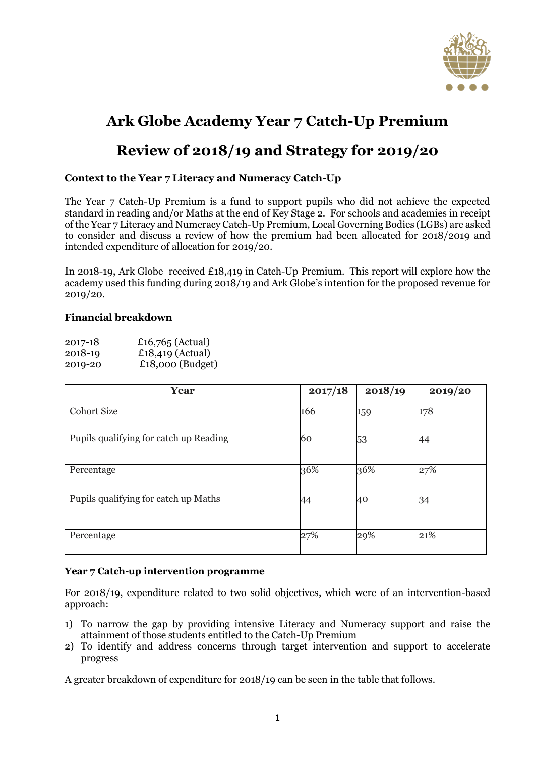

# **Ark Globe Academy Year 7 Catch-Up Premium**

## **Review of 2018/19 and Strategy for 2019/20**

#### **Context to the Year 7 Literacy and Numeracy Catch-Up**

The Year 7 Catch-Up Premium is a fund to support pupils who did not achieve the expected standard in reading and/or Maths at the end of Key Stage 2. For schools and academies in receipt of the Year 7 Literacy and Numeracy Catch-Up Premium, Local Governing Bodies (LGBs) are asked to consider and discuss a review of how the premium had been allocated for 2018/2019 and intended expenditure of allocation for 2019/20.

In 2018-19, Ark Globe received £18,419 in Catch-Up Premium. This report will explore how the academy used this funding during 2018/19 and Ark Globe's intention for the proposed revenue for 2019/20.

#### **Financial breakdown**

| 2017-18 | £16,765 (Actual)   |
|---------|--------------------|
| 2018-19 | £18,419 (Actual)   |
| 2019-20 | $£18,000$ (Budget) |

| Year                                   | 2017/18 | 2018/19 | 2019/20 |
|----------------------------------------|---------|---------|---------|
| <b>Cohort Size</b>                     | 166     | 159     | 178     |
| Pupils qualifying for catch up Reading | 60      | 53      | 44      |
| Percentage                             | 36%     | 36%     | 27%     |
| Pupils qualifying for catch up Maths   | 44      | 40      | 34      |
| Percentage                             | 27%     | 29%     | 21%     |

#### **Year 7 Catch-up intervention programme**

For 2018/19, expenditure related to two solid objectives, which were of an intervention-based approach:

- 1) To narrow the gap by providing intensive Literacy and Numeracy support and raise the attainment of those students entitled to the Catch-Up Premium
- 2) To identify and address concerns through target intervention and support to accelerate progress

A greater breakdown of expenditure for 2018/19 can be seen in the table that follows.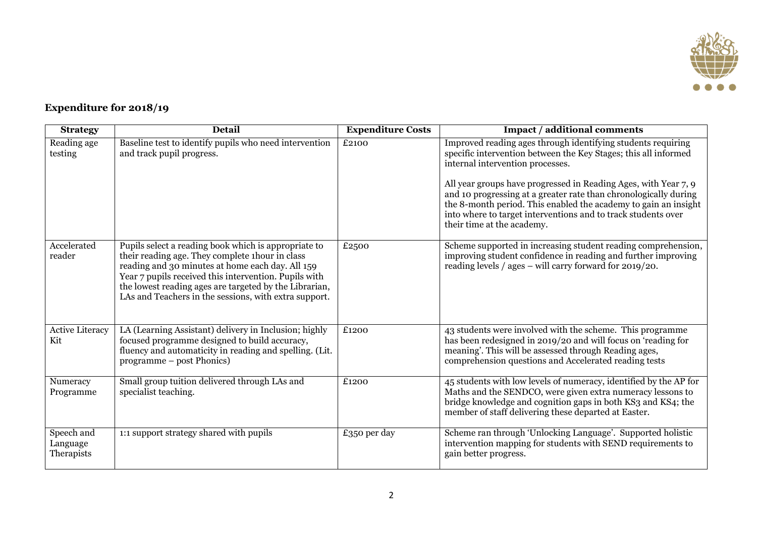

### **Expenditure for 2018/19**

| <b>Strategy</b>                      | <b>Detail</b>                                                                                                                                                                                                                                                                                                                           | <b>Expenditure Costs</b> | <b>Impact / additional comments</b>                                                                                                                                                                                                                                                                                                                                                                                                                                          |
|--------------------------------------|-----------------------------------------------------------------------------------------------------------------------------------------------------------------------------------------------------------------------------------------------------------------------------------------------------------------------------------------|--------------------------|------------------------------------------------------------------------------------------------------------------------------------------------------------------------------------------------------------------------------------------------------------------------------------------------------------------------------------------------------------------------------------------------------------------------------------------------------------------------------|
| Reading age<br>testing               | Baseline test to identify pupils who need intervention<br>and track pupil progress.                                                                                                                                                                                                                                                     | £2100                    | Improved reading ages through identifying students requiring<br>specific intervention between the Key Stages; this all informed<br>internal intervention processes.<br>All year groups have progressed in Reading Ages, with Year 7, 9<br>and 10 progressing at a greater rate than chronologically during<br>the 8-month period. This enabled the academy to gain an insight<br>into where to target interventions and to track students over<br>their time at the academy. |
| Accelerated<br>reader                | Pupils select a reading book which is appropriate to<br>their reading age. They complete thour in class<br>reading and 30 minutes at home each day. All 159<br>Year 7 pupils received this intervention. Pupils with<br>the lowest reading ages are targeted by the Librarian,<br>LAs and Teachers in the sessions, with extra support. | £2500                    | Scheme supported in increasing student reading comprehension,<br>improving student confidence in reading and further improving<br>reading levels / ages – will carry forward for 2019/20.                                                                                                                                                                                                                                                                                    |
| <b>Active Literacy</b><br>Kit        | LA (Learning Assistant) delivery in Inclusion; highly<br>focused programme designed to build accuracy,<br>fluency and automaticity in reading and spelling. (Lit.<br>programme – post Phonics)                                                                                                                                          | £1200                    | 43 students were involved with the scheme. This programme<br>has been redesigned in 2019/20 and will focus on 'reading for<br>meaning'. This will be assessed through Reading ages,<br>comprehension questions and Accelerated reading tests                                                                                                                                                                                                                                 |
| Numeracy<br>Programme                | Small group tuition delivered through LAs and<br>specialist teaching.                                                                                                                                                                                                                                                                   | £1200                    | 45 students with low levels of numeracy, identified by the AP for<br>Maths and the SENDCO, were given extra numeracy lessons to<br>bridge knowledge and cognition gaps in both KS3 and KS4; the<br>member of staff delivering these departed at Easter.                                                                                                                                                                                                                      |
| Speech and<br>Language<br>Therapists | 1:1 support strategy shared with pupils                                                                                                                                                                                                                                                                                                 | £350 per day             | Scheme ran through 'Unlocking Language'. Supported holistic<br>intervention mapping for students with SEND requirements to<br>gain better progress.                                                                                                                                                                                                                                                                                                                          |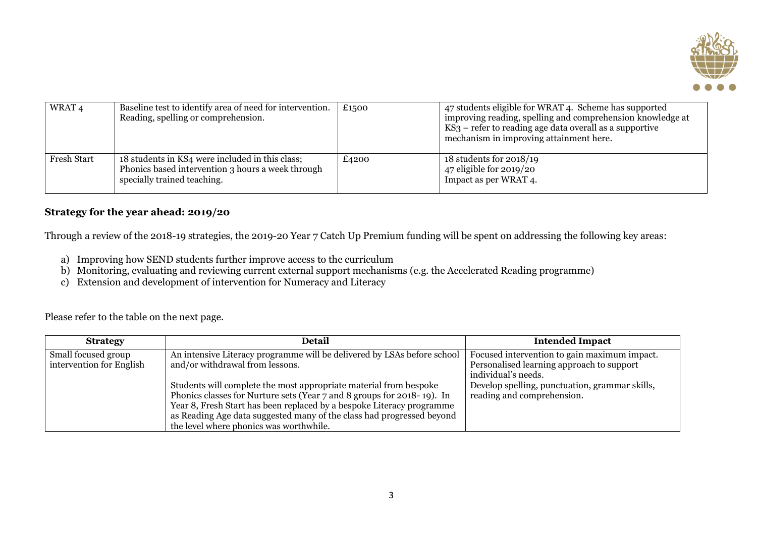

| WRAT <sub>4</sub> | Baseline test to identify area of need for intervention.<br>Reading, spelling or comprehension.                                     | £1500 | 47 students eligible for WRAT 4. Scheme has supported<br>improving reading, spelling and comprehension knowledge at<br>$KS3$ – refer to reading age data overall as a supportive<br>mechanism in improving attainment here. |
|-------------------|-------------------------------------------------------------------------------------------------------------------------------------|-------|-----------------------------------------------------------------------------------------------------------------------------------------------------------------------------------------------------------------------------|
| Fresh Start       | 18 students in KS4 were included in this class;<br>Phonics based intervention 3 hours a week through<br>specially trained teaching. | £4200 | 18 students for $2018/19$<br>47 eligible for 2019/20<br>Impact as per WRAT 4.                                                                                                                                               |

#### **Strategy for the year ahead: 2019/20**

Through a review of the 2018-19 strategies, the 2019-20 Year 7 Catch Up Premium funding will be spent on addressing the following key areas:

- a) Improving how SEND students further improve access to the curriculum
- b) Monitoring, evaluating and reviewing current external support mechanisms (e.g. the Accelerated Reading programme)
- c) Extension and development of intervention for Numeracy and Literacy

Please refer to the table on the next page.

| <b>Strategy</b>                                 | Detail                                                                                                                                                                                                                                                                                                                                   | <b>Intended Impact</b>                                                                                           |
|-------------------------------------------------|------------------------------------------------------------------------------------------------------------------------------------------------------------------------------------------------------------------------------------------------------------------------------------------------------------------------------------------|------------------------------------------------------------------------------------------------------------------|
| Small focused group<br>intervention for English | An intensive Literacy programme will be delivered by LSAs before school<br>and/or withdrawal from lessons.                                                                                                                                                                                                                               | Focused intervention to gain maximum impact.<br>Personalised learning approach to support<br>individual's needs. |
|                                                 | Students will complete the most appropriate material from bespoke<br>Phonics classes for Nurture sets (Year 7 and 8 groups for 2018-19). In<br>Year 8, Fresh Start has been replaced by a bespoke Literacy programme<br>as Reading Age data suggested many of the class had progressed beyond<br>the level where phonics was worthwhile. | Develop spelling, punctuation, grammar skills,<br>reading and comprehension.                                     |